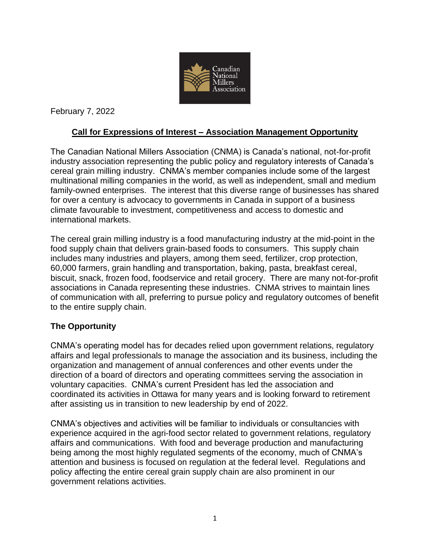

February 7, 2022

# **Call for Expressions of Interest – Association Management Opportunity**

The Canadian National Millers Association (CNMA) is Canada's national, not-for-profit industry association representing the public policy and regulatory interests of Canada's cereal grain milling industry. CNMA's member companies include some of the largest multinational milling companies in the world, as well as independent, small and medium family-owned enterprises. The interest that this diverse range of businesses has shared for over a century is advocacy to governments in Canada in support of a business climate favourable to investment, competitiveness and access to domestic and international markets.

The cereal grain milling industry is a food manufacturing industry at the mid-point in the food supply chain that delivers grain-based foods to consumers. This supply chain includes many industries and players, among them seed, fertilizer, crop protection, 60,000 farmers, grain handling and transportation, baking, pasta, breakfast cereal, biscuit, snack, frozen food, foodservice and retail grocery. There are many not-for-profit associations in Canada representing these industries. CNMA strives to maintain lines of communication with all, preferring to pursue policy and regulatory outcomes of benefit to the entire supply chain.

## **The Opportunity**

CNMA's operating model has for decades relied upon government relations, regulatory affairs and legal professionals to manage the association and its business, including the organization and management of annual conferences and other events under the direction of a board of directors and operating committees serving the association in voluntary capacities. CNMA's current President has led the association and coordinated its activities in Ottawa for many years and is looking forward to retirement after assisting us in transition to new leadership by end of 2022.

CNMA's objectives and activities will be familiar to individuals or consultancies with experience acquired in the agri-food sector related to government relations, regulatory affairs and communications. With food and beverage production and manufacturing being among the most highly regulated segments of the economy, much of CNMA's attention and business is focused on regulation at the federal level. Regulations and policy affecting the entire cereal grain supply chain are also prominent in our government relations activities.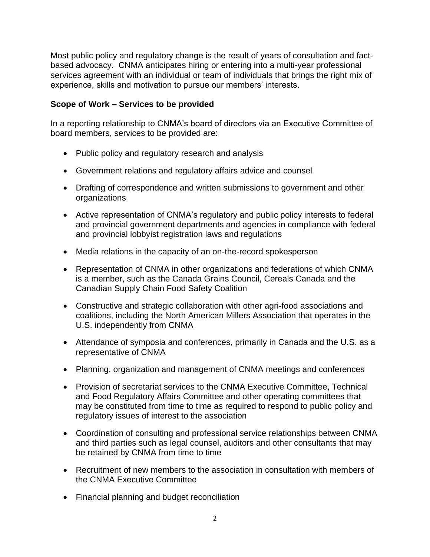Most public policy and regulatory change is the result of years of consultation and factbased advocacy. CNMA anticipates hiring or entering into a multi-year professional services agreement with an individual or team of individuals that brings the right mix of experience, skills and motivation to pursue our members' interests.

### **Scope of Work – Services to be provided**

In a reporting relationship to CNMA's board of directors via an Executive Committee of board members, services to be provided are:

- Public policy and regulatory research and analysis
- Government relations and regulatory affairs advice and counsel
- Drafting of correspondence and written submissions to government and other organizations
- Active representation of CNMA's regulatory and public policy interests to federal and provincial government departments and agencies in compliance with federal and provincial lobbyist registration laws and regulations
- Media relations in the capacity of an on-the-record spokesperson
- Representation of CNMA in other organizations and federations of which CNMA is a member, such as the Canada Grains Council, Cereals Canada and the Canadian Supply Chain Food Safety Coalition
- Constructive and strategic collaboration with other agri-food associations and coalitions, including the North American Millers Association that operates in the U.S. independently from CNMA
- Attendance of symposia and conferences, primarily in Canada and the U.S. as a representative of CNMA
- Planning, organization and management of CNMA meetings and conferences
- Provision of secretariat services to the CNMA Executive Committee, Technical and Food Regulatory Affairs Committee and other operating committees that may be constituted from time to time as required to respond to public policy and regulatory issues of interest to the association
- Coordination of consulting and professional service relationships between CNMA and third parties such as legal counsel, auditors and other consultants that may be retained by CNMA from time to time
- Recruitment of new members to the association in consultation with members of the CNMA Executive Committee
- Financial planning and budget reconciliation